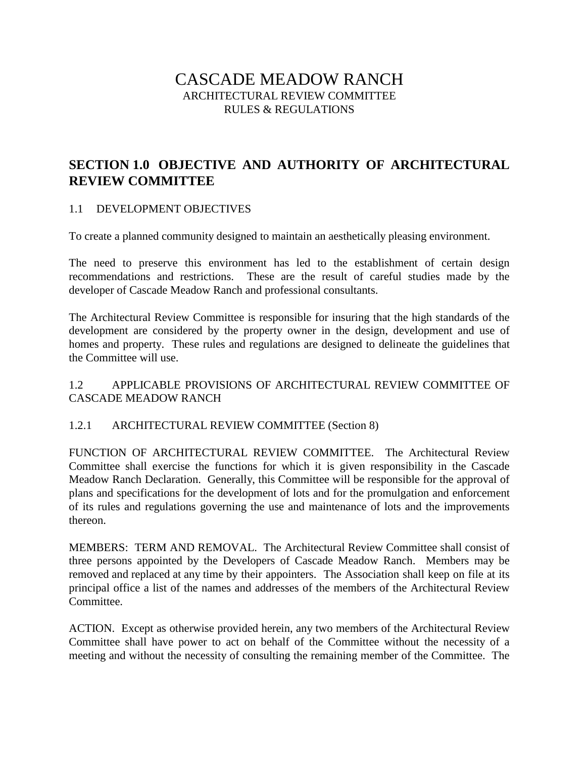# CASCADE MEADOW RANCH ARCHITECTURAL REVIEW COMMITTEE RULES & REGULATIONS

# **SECTION 1.0 OBJECTIVE AND AUTHORITY OF ARCHITECTURAL REVIEW COMMITTEE**

#### 1.1 DEVELOPMENT OBJECTIVES

To create a planned community designed to maintain an aesthetically pleasing environment.

The need to preserve this environment has led to the establishment of certain design recommendations and restrictions. These are the result of careful studies made by the developer of Cascade Meadow Ranch and professional consultants.

The Architectural Review Committee is responsible for insuring that the high standards of the development are considered by the property owner in the design, development and use of homes and property. These rules and regulations are designed to delineate the guidelines that the Committee will use.

### 1.2 APPLICABLE PROVISIONS OF ARCHITECTURAL REVIEW COMMITTEE OF CASCADE MEADOW RANCH

### 1.2.1 ARCHITECTURAL REVIEW COMMITTEE (Section 8)

FUNCTION OF ARCHITECTURAL REVIEW COMMITTEE. The Architectural Review Committee shall exercise the functions for which it is given responsibility in the Cascade Meadow Ranch Declaration. Generally, this Committee will be responsible for the approval of plans and specifications for the development of lots and for the promulgation and enforcement of its rules and regulations governing the use and maintenance of lots and the improvements thereon.

MEMBERS: TERM AND REMOVAL. The Architectural Review Committee shall consist of three persons appointed by the Developers of Cascade Meadow Ranch. Members may be removed and replaced at any time by their appointers. The Association shall keep on file at its principal office a list of the names and addresses of the members of the Architectural Review Committee.

ACTION. Except as otherwise provided herein, any two members of the Architectural Review Committee shall have power to act on behalf of the Committee without the necessity of a meeting and without the necessity of consulting the remaining member of the Committee. The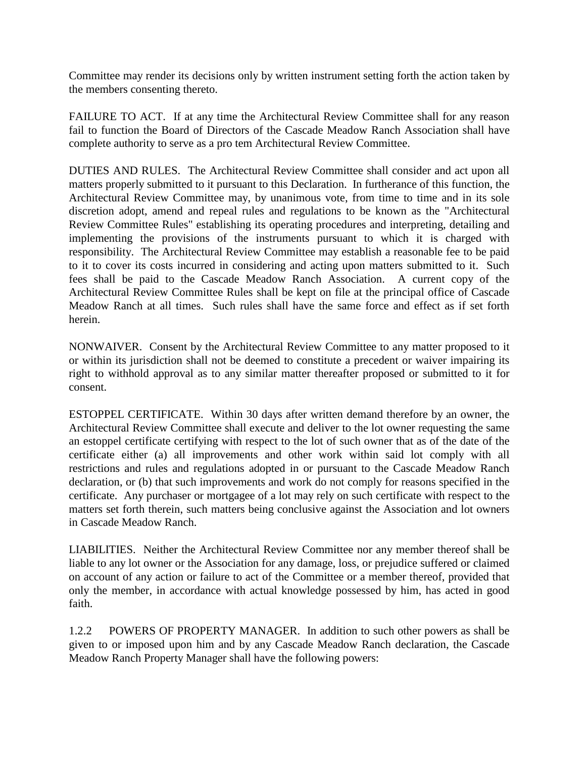Committee may render its decisions only by written instrument setting forth the action taken by the members consenting thereto.

FAILURE TO ACT. If at any time the Architectural Review Committee shall for any reason fail to function the Board of Directors of the Cascade Meadow Ranch Association shall have complete authority to serve as a pro tem Architectural Review Committee.

DUTIES AND RULES. The Architectural Review Committee shall consider and act upon all matters properly submitted to it pursuant to this Declaration. In furtherance of this function, the Architectural Review Committee may, by unanimous vote, from time to time and in its sole discretion adopt, amend and repeal rules and regulations to be known as the "Architectural Review Committee Rules" establishing its operating procedures and interpreting, detailing and implementing the provisions of the instruments pursuant to which it is charged with responsibility. The Architectural Review Committee may establish a reasonable fee to be paid to it to cover its costs incurred in considering and acting upon matters submitted to it. Such fees shall be paid to the Cascade Meadow Ranch Association. A current copy of the Architectural Review Committee Rules shall be kept on file at the principal office of Cascade Meadow Ranch at all times. Such rules shall have the same force and effect as if set forth herein.

NONWAIVER. Consent by the Architectural Review Committee to any matter proposed to it or within its jurisdiction shall not be deemed to constitute a precedent or waiver impairing its right to withhold approval as to any similar matter thereafter proposed or submitted to it for consent.

ESTOPPEL CERTIFICATE. Within 30 days after written demand therefore by an owner, the Architectural Review Committee shall execute and deliver to the lot owner requesting the same an estoppel certificate certifying with respect to the lot of such owner that as of the date of the certificate either (a) all improvements and other work within said lot comply with all restrictions and rules and regulations adopted in or pursuant to the Cascade Meadow Ranch declaration, or (b) that such improvements and work do not comply for reasons specified in the certificate. Any purchaser or mortgagee of a lot may rely on such certificate with respect to the matters set forth therein, such matters being conclusive against the Association and lot owners in Cascade Meadow Ranch.

LIABILITIES. Neither the Architectural Review Committee nor any member thereof shall be liable to any lot owner or the Association for any damage, loss, or prejudice suffered or claimed on account of any action or failure to act of the Committee or a member thereof, provided that only the member, in accordance with actual knowledge possessed by him, has acted in good faith.

1.2.2 POWERS OF PROPERTY MANAGER. In addition to such other powers as shall be given to or imposed upon him and by any Cascade Meadow Ranch declaration, the Cascade Meadow Ranch Property Manager shall have the following powers: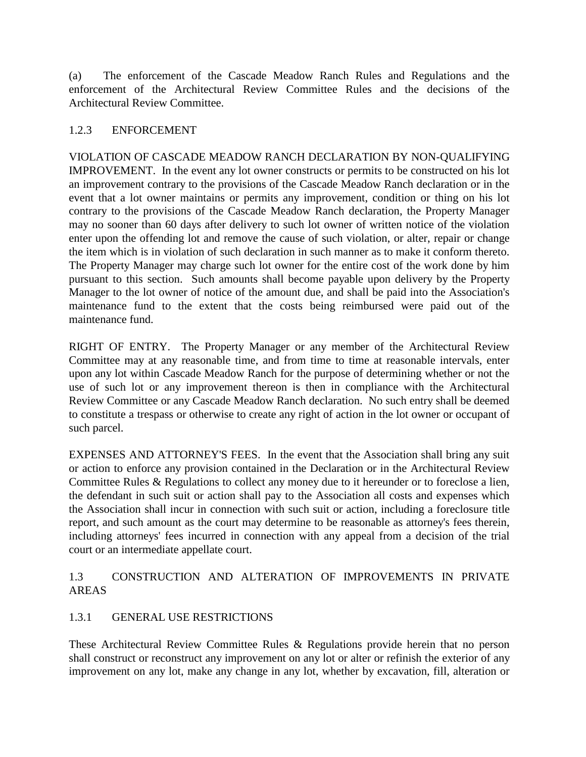(a) The enforcement of the Cascade Meadow Ranch Rules and Regulations and the enforcement of the Architectural Review Committee Rules and the decisions of the Architectural Review Committee.

#### 1.2.3 ENFORCEMENT

VIOLATION OF CASCADE MEADOW RANCH DECLARATION BY NON-QUALIFYING IMPROVEMENT. In the event any lot owner constructs or permits to be constructed on his lot an improvement contrary to the provisions of the Cascade Meadow Ranch declaration or in the event that a lot owner maintains or permits any improvement, condition or thing on his lot contrary to the provisions of the Cascade Meadow Ranch declaration, the Property Manager may no sooner than 60 days after delivery to such lot owner of written notice of the violation enter upon the offending lot and remove the cause of such violation, or alter, repair or change the item which is in violation of such declaration in such manner as to make it conform thereto. The Property Manager may charge such lot owner for the entire cost of the work done by him pursuant to this section. Such amounts shall become payable upon delivery by the Property Manager to the lot owner of notice of the amount due, and shall be paid into the Association's maintenance fund to the extent that the costs being reimbursed were paid out of the maintenance fund.

RIGHT OF ENTRY. The Property Manager or any member of the Architectural Review Committee may at any reasonable time, and from time to time at reasonable intervals, enter upon any lot within Cascade Meadow Ranch for the purpose of determining whether or not the use of such lot or any improvement thereon is then in compliance with the Architectural Review Committee or any Cascade Meadow Ranch declaration. No such entry shall be deemed to constitute a trespass or otherwise to create any right of action in the lot owner or occupant of such parcel.

EXPENSES AND ATTORNEY'S FEES. In the event that the Association shall bring any suit or action to enforce any provision contained in the Declaration or in the Architectural Review Committee Rules & Regulations to collect any money due to it hereunder or to foreclose a lien, the defendant in such suit or action shall pay to the Association all costs and expenses which the Association shall incur in connection with such suit or action, including a foreclosure title report, and such amount as the court may determine to be reasonable as attorney's fees therein, including attorneys' fees incurred in connection with any appeal from a decision of the trial court or an intermediate appellate court.

## 1.3 CONSTRUCTION AND ALTERATION OF IMPROVEMENTS IN PRIVATE AREAS

### 1.3.1 GENERAL USE RESTRICTIONS

These Architectural Review Committee Rules & Regulations provide herein that no person shall construct or reconstruct any improvement on any lot or alter or refinish the exterior of any improvement on any lot, make any change in any lot, whether by excavation, fill, alteration or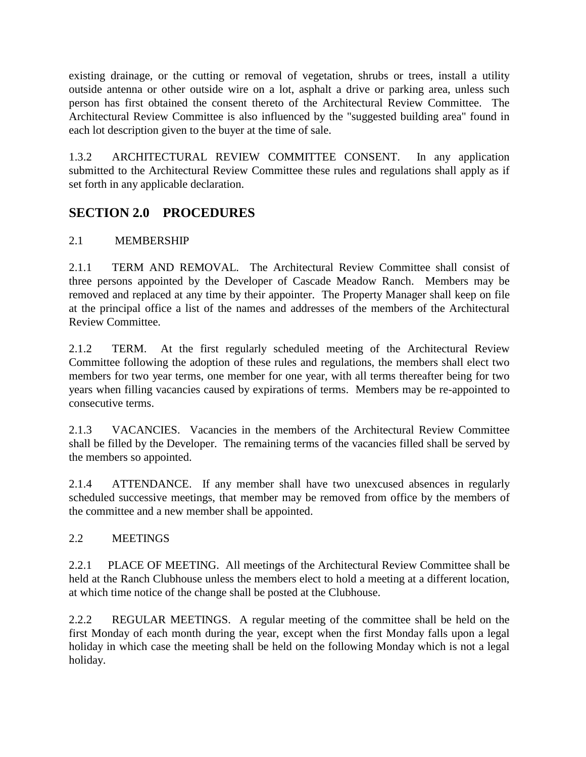existing drainage, or the cutting or removal of vegetation, shrubs or trees, install a utility outside antenna or other outside wire on a lot, asphalt a drive or parking area, unless such person has first obtained the consent thereto of the Architectural Review Committee. The Architectural Review Committee is also influenced by the "suggested building area" found in each lot description given to the buyer at the time of sale.

1.3.2 ARCHITECTURAL REVIEW COMMITTEE CONSENT. In any application submitted to the Architectural Review Committee these rules and regulations shall apply as if set forth in any applicable declaration.

# **SECTION 2.0 PROCEDURES**

## 2.1 MEMBERSHIP

2.1.1 TERM AND REMOVAL. The Architectural Review Committee shall consist of three persons appointed by the Developer of Cascade Meadow Ranch. Members may be removed and replaced at any time by their appointer. The Property Manager shall keep on file at the principal office a list of the names and addresses of the members of the Architectural Review Committee.

2.1.2 TERM. At the first regularly scheduled meeting of the Architectural Review Committee following the adoption of these rules and regulations, the members shall elect two members for two year terms, one member for one year, with all terms thereafter being for two years when filling vacancies caused by expirations of terms. Members may be re-appointed to consecutive terms.

2.1.3 VACANCIES. Vacancies in the members of the Architectural Review Committee shall be filled by the Developer. The remaining terms of the vacancies filled shall be served by the members so appointed.

2.1.4 ATTENDANCE. If any member shall have two unexcused absences in regularly scheduled successive meetings, that member may be removed from office by the members of the committee and a new member shall be appointed.

## 2.2 MEETINGS

2.2.1 PLACE OF MEETING. All meetings of the Architectural Review Committee shall be held at the Ranch Clubhouse unless the members elect to hold a meeting at a different location, at which time notice of the change shall be posted at the Clubhouse.

2.2.2 REGULAR MEETINGS. A regular meeting of the committee shall be held on the first Monday of each month during the year, except when the first Monday falls upon a legal holiday in which case the meeting shall be held on the following Monday which is not a legal holiday.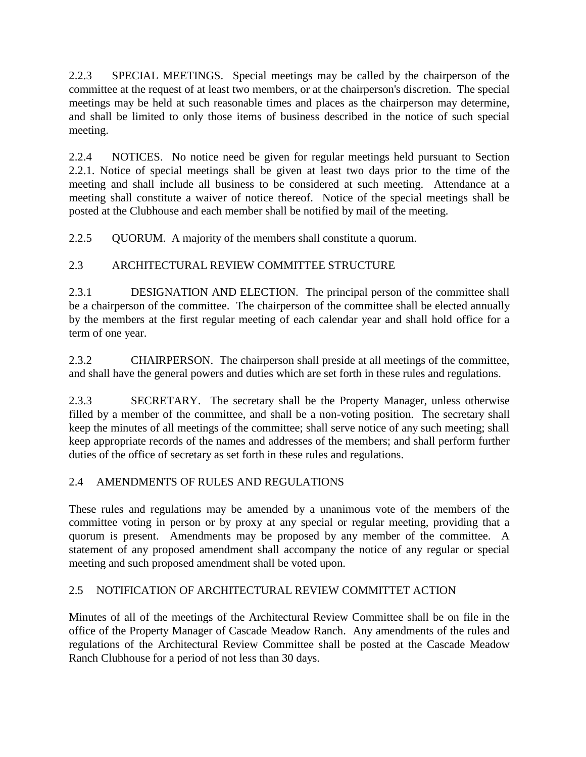2.2.3 SPECIAL MEETINGS. Special meetings may be called by the chairperson of the committee at the request of at least two members, or at the chairperson's discretion. The special meetings may be held at such reasonable times and places as the chairperson may determine, and shall be limited to only those items of business described in the notice of such special meeting.

2.2.4 NOTICES. No notice need be given for regular meetings held pursuant to Section 2.2.1. Notice of special meetings shall be given at least two days prior to the time of the meeting and shall include all business to be considered at such meeting. Attendance at a meeting shall constitute a waiver of notice thereof. Notice of the special meetings shall be posted at the Clubhouse and each member shall be notified by mail of the meeting.

2.2.5 QUORUM. A majority of the members shall constitute a quorum.

## 2.3 ARCHITECTURAL REVIEW COMMITTEE STRUCTURE

2.3.1 DESIGNATION AND ELECTION. The principal person of the committee shall be a chairperson of the committee. The chairperson of the committee shall be elected annually by the members at the first regular meeting of each calendar year and shall hold office for a term of one year.

2.3.2 CHAIRPERSON. The chairperson shall preside at all meetings of the committee, and shall have the general powers and duties which are set forth in these rules and regulations.

2.3.3 SECRETARY. The secretary shall be the Property Manager, unless otherwise filled by a member of the committee, and shall be a non-voting position. The secretary shall keep the minutes of all meetings of the committee; shall serve notice of any such meeting; shall keep appropriate records of the names and addresses of the members; and shall perform further duties of the office of secretary as set forth in these rules and regulations.

## 2.4 AMENDMENTS OF RULES AND REGULATIONS

These rules and regulations may be amended by a unanimous vote of the members of the committee voting in person or by proxy at any special or regular meeting, providing that a quorum is present. Amendments may be proposed by any member of the committee. A statement of any proposed amendment shall accompany the notice of any regular or special meeting and such proposed amendment shall be voted upon.

## 2.5 NOTIFICATION OF ARCHITECTURAL REVIEW COMMITTET ACTION

Minutes of all of the meetings of the Architectural Review Committee shall be on file in the office of the Property Manager of Cascade Meadow Ranch. Any amendments of the rules and regulations of the Architectural Review Committee shall be posted at the Cascade Meadow Ranch Clubhouse for a period of not less than 30 days.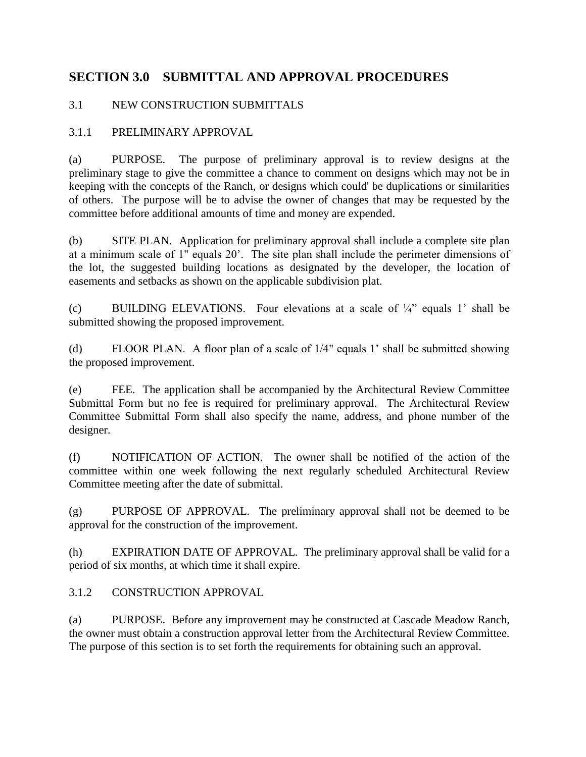# **SECTION 3.0 SUBMITTAL AND APPROVAL PROCEDURES**

## 3.1 NEW CONSTRUCTION SUBMITTALS

## 3.1.1 PRELIMINARY APPROVAL

(a) PURPOSE. The purpose of preliminary approval is to review designs at the preliminary stage to give the committee a chance to comment on designs which may not be in keeping with the concepts of the Ranch, or designs which could' be duplications or similarities of others. The purpose will be to advise the owner of changes that may be requested by the committee before additional amounts of time and money are expended.

(b) SITE PLAN. Application for preliminary approval shall include a complete site plan at a minimum scale of 1" equals 20'. The site plan shall include the perimeter dimensions of the lot, the suggested building locations as designated by the developer, the location of easements and setbacks as shown on the applicable subdivision plat.

(c) BUILDING ELEVATIONS. Four elevations at a scale of  $\frac{1}{4}$  equals 1 shall be submitted showing the proposed improvement.

(d) FLOOR PLAN. A floor plan of a scale of 1/4" equals 1' shall be submitted showing the proposed improvement.

(e) FEE. The application shall be accompanied by the Architectural Review Committee Submittal Form but no fee is required for preliminary approval. The Architectural Review Committee Submittal Form shall also specify the name, address, and phone number of the designer.

(f) NOTIFICATION OF ACTION. The owner shall be notified of the action of the committee within one week following the next regularly scheduled Architectural Review Committee meeting after the date of submittal.

(g) PURPOSE OF APPROVAL. The preliminary approval shall not be deemed to be approval for the construction of the improvement.

(h) EXPIRATION DATE OF APPROVAL. The preliminary approval shall be valid for a period of six months, at which time it shall expire.

### 3.1.2 CONSTRUCTION APPROVAL

(a) PURPOSE. Before any improvement may be constructed at Cascade Meadow Ranch, the owner must obtain a construction approval letter from the Architectural Review Committee. The purpose of this section is to set forth the requirements for obtaining such an approval.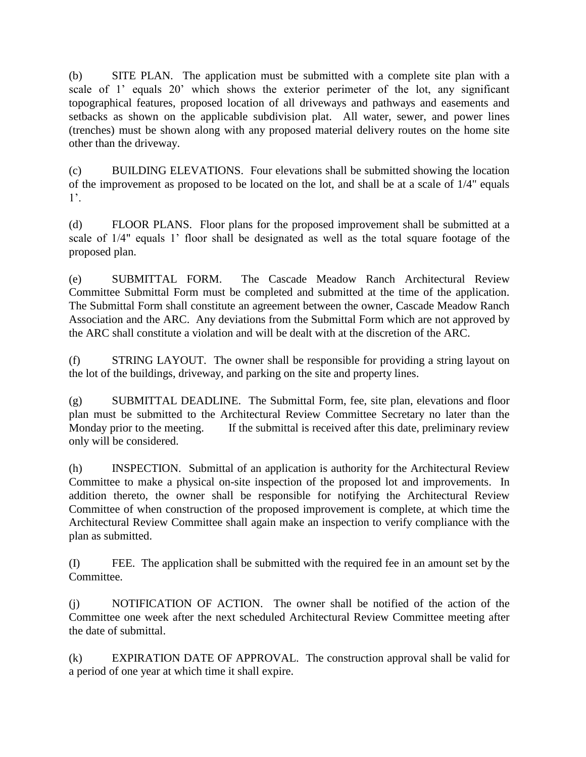(b) SITE PLAN. The application must be submitted with a complete site plan with a scale of 1' equals 20' which shows the exterior perimeter of the lot, any significant topographical features, proposed location of all driveways and pathways and easements and setbacks as shown on the applicable subdivision plat. All water, sewer, and power lines (trenches) must be shown along with any proposed material delivery routes on the home site other than the driveway.

(c) BUILDING ELEVATIONS. Four elevations shall be submitted showing the location of the improvement as proposed to be located on the lot, and shall be at a scale of 1/4" equals 1'.

(d) FLOOR PLANS. Floor plans for the proposed improvement shall be submitted at a scale of 1/4" equals 1' floor shall be designated as well as the total square footage of the proposed plan.

(e) SUBMITTAL FORM. The Cascade Meadow Ranch Architectural Review Committee Submittal Form must be completed and submitted at the time of the application. The Submittal Form shall constitute an agreement between the owner, Cascade Meadow Ranch Association and the ARC. Any deviations from the Submittal Form which are not approved by the ARC shall constitute a violation and will be dealt with at the discretion of the ARC.

(f) STRING LAYOUT. The owner shall be responsible for providing a string layout on the lot of the buildings, driveway, and parking on the site and property lines.

(g) SUBMITTAL DEADLINE. The Submittal Form, fee, site plan, elevations and floor plan must be submitted to the Architectural Review Committee Secretary no later than the Monday prior to the meeting. If the submittal is received after this date, preliminary review only will be considered.

(h) INSPECTION. Submittal of an application is authority for the Architectural Review Committee to make a physical on-site inspection of the proposed lot and improvements. In addition thereto, the owner shall be responsible for notifying the Architectural Review Committee of when construction of the proposed improvement is complete, at which time the Architectural Review Committee shall again make an inspection to verify compliance with the plan as submitted.

(I) FEE. The application shall be submitted with the required fee in an amount set by the Committee.

(j) NOTIFICATION OF ACTION. The owner shall be notified of the action of the Committee one week after the next scheduled Architectural Review Committee meeting after the date of submittal.

(k) EXPIRATION DATE OF APPROVAL. The construction approval shall be valid for a period of one year at which time it shall expire.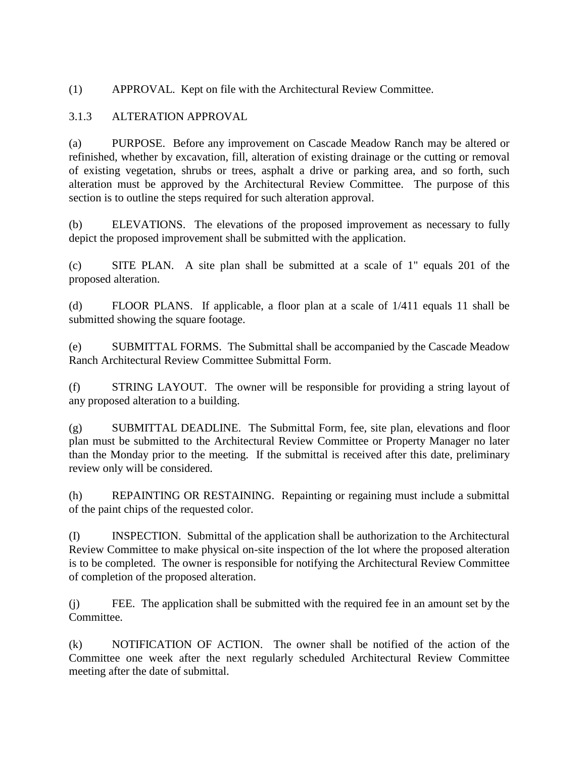(1) APPROVAL. Kept on file with the Architectural Review Committee.

### 3.1.3 ALTERATION APPROVAL

(a) PURPOSE. Before any improvement on Cascade Meadow Ranch may be altered or refinished, whether by excavation, fill, alteration of existing drainage or the cutting or removal of existing vegetation, shrubs or trees, asphalt a drive or parking area, and so forth, such alteration must be approved by the Architectural Review Committee. The purpose of this section is to outline the steps required for such alteration approval.

(b) ELEVATIONS. The elevations of the proposed improvement as necessary to fully depict the proposed improvement shall be submitted with the application.

(c) SITE PLAN. A site plan shall be submitted at a scale of 1" equals 201 of the proposed alteration.

(d) FLOOR PLANS. If applicable, a floor plan at a scale of 1/411 equals 11 shall be submitted showing the square footage.

(e) SUBMITTAL FORMS. The Submittal shall be accompanied by the Cascade Meadow Ranch Architectural Review Committee Submittal Form.

(f) STRING LAYOUT. The owner will be responsible for providing a string layout of any proposed alteration to a building.

(g) SUBMITTAL DEADLINE. The Submittal Form, fee, site plan, elevations and floor plan must be submitted to the Architectural Review Committee or Property Manager no later than the Monday prior to the meeting. If the submittal is received after this date, preliminary review only will be considered.

(h) REPAINTING OR RESTAINING. Repainting or regaining must include a submittal of the paint chips of the requested color.

(I) INSPECTION. Submittal of the application shall be authorization to the Architectural Review Committee to make physical on-site inspection of the lot where the proposed alteration is to be completed. The owner is responsible for notifying the Architectural Review Committee of completion of the proposed alteration.

(j) FEE. The application shall be submitted with the required fee in an amount set by the Committee.

(k) NOTIFICATION OF ACTION. The owner shall be notified of the action of the Committee one week after the next regularly scheduled Architectural Review Committee meeting after the date of submittal.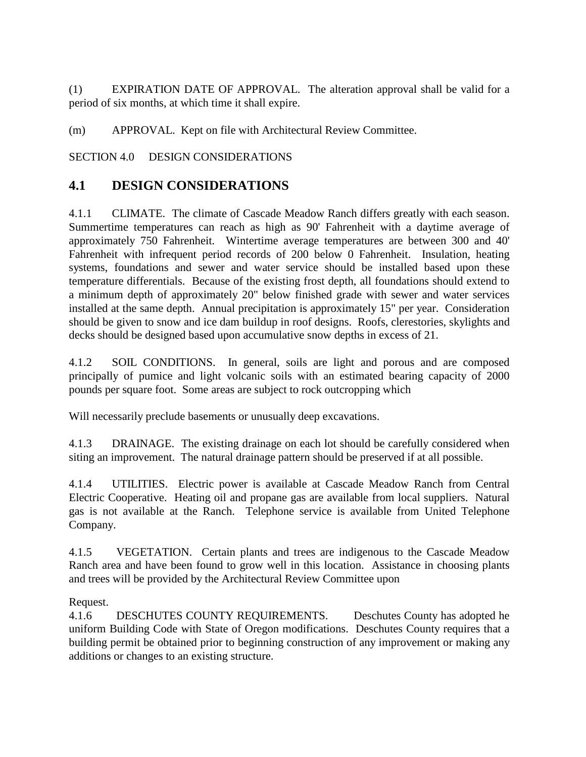(1) EXPIRATION DATE OF APPROVAL. The alteration approval shall be valid for a period of six months, at which time it shall expire.

(m) APPROVAL. Kept on file with Architectural Review Committee.

SECTION 4.0 DESIGN CONSIDERATIONS

# **4.1 DESIGN CONSIDERATIONS**

4.1.1 CLIMATE. The climate of Cascade Meadow Ranch differs greatly with each season. Summertime temperatures can reach as high as 90' Fahrenheit with a daytime average of approximately 750 Fahrenheit. Wintertime average temperatures are between 300 and 40' Fahrenheit with infrequent period records of 200 below 0 Fahrenheit. Insulation, heating systems, foundations and sewer and water service should be installed based upon these temperature differentials. Because of the existing frost depth, all foundations should extend to a minimum depth of approximately 20" below finished grade with sewer and water services installed at the same depth. Annual precipitation is approximately 15" per year. Consideration should be given to snow and ice dam buildup in roof designs. Roofs, clerestories, skylights and decks should be designed based upon accumulative snow depths in excess of 21.

4.1.2 SOIL CONDITIONS. In general, soils are light and porous and are composed principally of pumice and light volcanic soils with an estimated bearing capacity of 2000 pounds per square foot. Some areas are subject to rock outcropping which

Will necessarily preclude basements or unusually deep excavations.

4.1.3 DRAINAGE. The existing drainage on each lot should be carefully considered when siting an improvement. The natural drainage pattern should be preserved if at all possible.

4.1.4 UTILITIES. Electric power is available at Cascade Meadow Ranch from Central Electric Cooperative. Heating oil and propane gas are available from local suppliers. Natural gas is not available at the Ranch. Telephone service is available from United Telephone Company.

4.1.5 VEGETATION. Certain plants and trees are indigenous to the Cascade Meadow Ranch area and have been found to grow well in this location. Assistance in choosing plants and trees will be provided by the Architectural Review Committee upon

### Request.

4.1.6 DESCHUTES COUNTY REQUIREMENTS. Deschutes County has adopted he uniform Building Code with State of Oregon modifications. Deschutes County requires that a building permit be obtained prior to beginning construction of any improvement or making any additions or changes to an existing structure.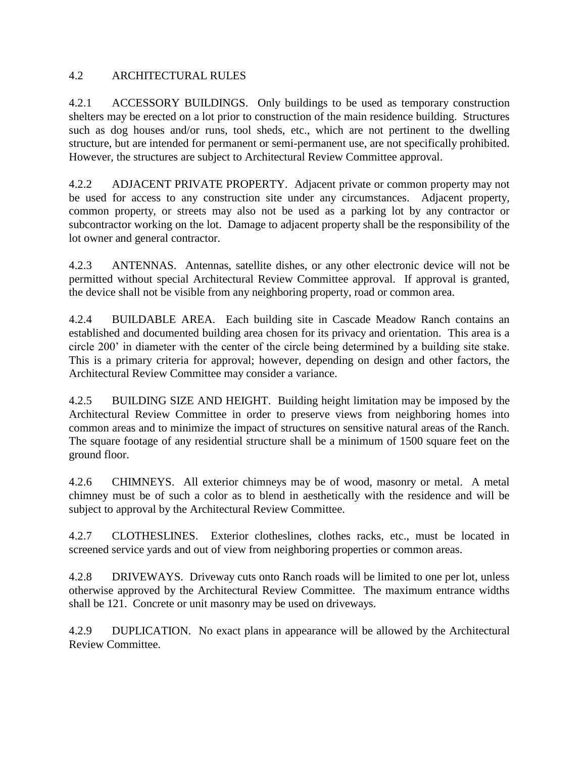### 4.2 ARCHITECTURAL RULES

4.2.1 ACCESSORY BUILDINGS. Only buildings to be used as temporary construction shelters may be erected on a lot prior to construction of the main residence building. Structures such as dog houses and/or runs, tool sheds, etc., which are not pertinent to the dwelling structure, but are intended for permanent or semi-permanent use, are not specifically prohibited. However, the structures are subject to Architectural Review Committee approval.

4.2.2 ADJACENT PRIVATE PROPERTY. Adjacent private or common property may not be used for access to any construction site under any circumstances. Adjacent property, common property, or streets may also not be used as a parking lot by any contractor or subcontractor working on the lot. Damage to adjacent property shall be the responsibility of the lot owner and general contractor.

4.2.3 ANTENNAS. Antennas, satellite dishes, or any other electronic device will not be permitted without special Architectural Review Committee approval. If approval is granted, the device shall not be visible from any neighboring property, road or common area.

4.2.4 BUILDABLE AREA. Each building site in Cascade Meadow Ranch contains an established and documented building area chosen for its privacy and orientation. This area is a circle 200' in diameter with the center of the circle being determined by a building site stake. This is a primary criteria for approval; however, depending on design and other factors, the Architectural Review Committee may consider a variance.

4.2.5 BUILDING SIZE AND HEIGHT. Building height limitation may be imposed by the Architectural Review Committee in order to preserve views from neighboring homes into common areas and to minimize the impact of structures on sensitive natural areas of the Ranch. The square footage of any residential structure shall be a minimum of 1500 square feet on the ground floor.

4.2.6 CHIMNEYS. All exterior chimneys may be of wood, masonry or metal. A metal chimney must be of such a color as to blend in aesthetically with the residence and will be subject to approval by the Architectural Review Committee.

4.2.7 CLOTHESLINES. Exterior clotheslines, clothes racks, etc., must be located in screened service yards and out of view from neighboring properties or common areas.

4.2.8 DRIVEWAYS. Driveway cuts onto Ranch roads will be limited to one per lot, unless otherwise approved by the Architectural Review Committee. The maximum entrance widths shall be 121. Concrete or unit masonry may be used on driveways.

4.2.9 DUPLICATION. No exact plans in appearance will be allowed by the Architectural Review Committee.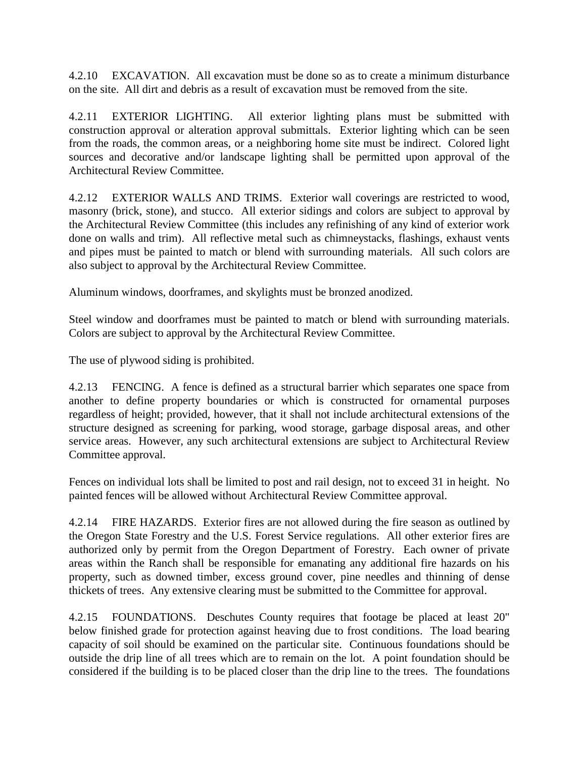4.2.10 EXCAVATION. All excavation must be done so as to create a minimum disturbance on the site. All dirt and debris as a result of excavation must be removed from the site.

4.2.11 EXTERIOR LIGHTING. All exterior lighting plans must be submitted with construction approval or alteration approval submittals. Exterior lighting which can be seen from the roads, the common areas, or a neighboring home site must be indirect. Colored light sources and decorative and/or landscape lighting shall be permitted upon approval of the Architectural Review Committee.

4.2.12 EXTERIOR WALLS AND TRIMS. Exterior wall coverings are restricted to wood, masonry (brick, stone), and stucco. All exterior sidings and colors are subject to approval by the Architectural Review Committee (this includes any refinishing of any kind of exterior work done on walls and trim). All reflective metal such as chimneystacks, flashings, exhaust vents and pipes must be painted to match or blend with surrounding materials. All such colors are also subject to approval by the Architectural Review Committee.

Aluminum windows, doorframes, and skylights must be bronzed anodized.

Steel window and doorframes must be painted to match or blend with surrounding materials. Colors are subject to approval by the Architectural Review Committee.

The use of plywood siding is prohibited.

4.2.13 FENCING. A fence is defined as a structural barrier which separates one space from another to define property boundaries or which is constructed for ornamental purposes regardless of height; provided, however, that it shall not include architectural extensions of the structure designed as screening for parking, wood storage, garbage disposal areas, and other service areas. However, any such architectural extensions are subject to Architectural Review Committee approval.

Fences on individual lots shall be limited to post and rail design, not to exceed 31 in height. No painted fences will be allowed without Architectural Review Committee approval.

4.2.14 FIRE HAZARDS. Exterior fires are not allowed during the fire season as outlined by the Oregon State Forestry and the U.S. Forest Service regulations. All other exterior fires are authorized only by permit from the Oregon Department of Forestry. Each owner of private areas within the Ranch shall be responsible for emanating any additional fire hazards on his property, such as downed timber, excess ground cover, pine needles and thinning of dense thickets of trees. Any extensive clearing must be submitted to the Committee for approval.

4.2.15 FOUNDATIONS. Deschutes County requires that footage be placed at least 20" below finished grade for protection against heaving due to frost conditions. The load bearing capacity of soil should be examined on the particular site. Continuous foundations should be outside the drip line of all trees which are to remain on the lot. A point foundation should be considered if the building is to be placed closer than the drip line to the trees. The foundations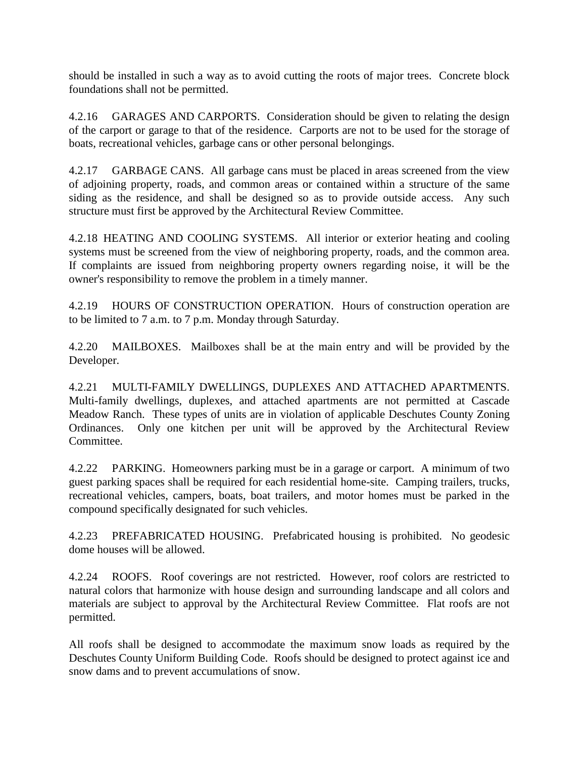should be installed in such a way as to avoid cutting the roots of major trees. Concrete block foundations shall not be permitted.

4.2.16 GARAGES AND CARPORTS. Consideration should be given to relating the design of the carport or garage to that of the residence. Carports are not to be used for the storage of boats, recreational vehicles, garbage cans or other personal belongings.

4.2.17 GARBAGE CANS. All garbage cans must be placed in areas screened from the view of adjoining property, roads, and common areas or contained within a structure of the same siding as the residence, and shall be designed so as to provide outside access. Any such structure must first be approved by the Architectural Review Committee.

4.2.18 HEATING AND COOLING SYSTEMS. All interior or exterior heating and cooling systems must be screened from the view of neighboring property, roads, and the common area. If complaints are issued from neighboring property owners regarding noise, it will be the owner's responsibility to remove the problem in a timely manner.

4.2.19 HOURS OF CONSTRUCTION OPERATION. Hours of construction operation are to be limited to 7 a.m. to 7 p.m. Monday through Saturday.

4.2.20 MAILBOXES. Mailboxes shall be at the main entry and will be provided by the Developer.

4.2.21 MULTI-FAMILY DWELLINGS, DUPLEXES AND ATTACHED APARTMENTS. Multi-family dwellings, duplexes, and attached apartments are not permitted at Cascade Meadow Ranch. These types of units are in violation of applicable Deschutes County Zoning Ordinances. Only one kitchen per unit will be approved by the Architectural Review Committee.

4.2.22 PARKING. Homeowners parking must be in a garage or carport. A minimum of two guest parking spaces shall be required for each residential home-site. Camping trailers, trucks, recreational vehicles, campers, boats, boat trailers, and motor homes must be parked in the compound specifically designated for such vehicles.

4.2.23 PREFABRICATED HOUSING. Prefabricated housing is prohibited. No geodesic dome houses will be allowed.

4.2.24 ROOFS. Roof coverings are not restricted. However, roof colors are restricted to natural colors that harmonize with house design and surrounding landscape and all colors and materials are subject to approval by the Architectural Review Committee. Flat roofs are not permitted.

All roofs shall be designed to accommodate the maximum snow loads as required by the Deschutes County Uniform Building Code. Roofs should be designed to protect against ice and snow dams and to prevent accumulations of snow.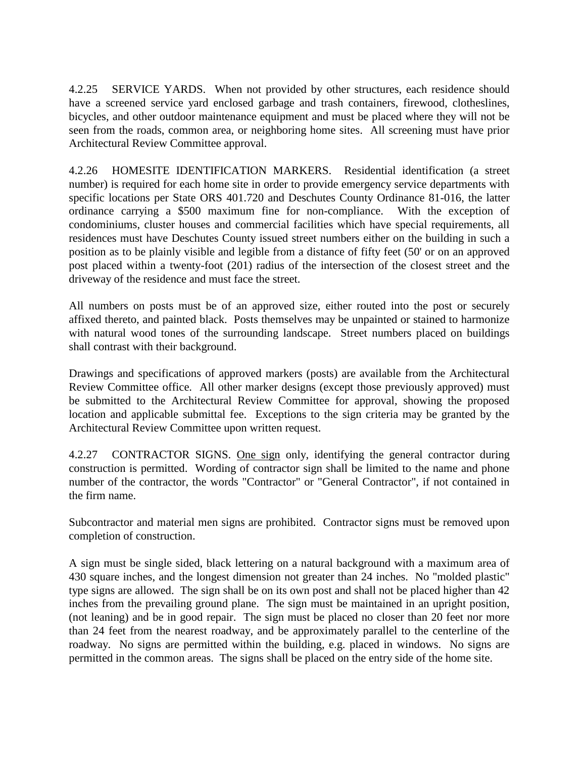4.2.25 SERVICE YARDS. When not provided by other structures, each residence should have a screened service yard enclosed garbage and trash containers, firewood, clotheslines, bicycles, and other outdoor maintenance equipment and must be placed where they will not be seen from the roads, common area, or neighboring home sites. All screening must have prior Architectural Review Committee approval.

4.2.26 HOMESITE IDENTIFICATION MARKERS. Residential identification (a street number) is required for each home site in order to provide emergency service departments with specific locations per State ORS 401.720 and Deschutes County Ordinance 81-016, the latter ordinance carrying a \$500 maximum fine for non-compliance. With the exception of condominiums, cluster houses and commercial facilities which have special requirements, all residences must have Deschutes County issued street numbers either on the building in such a position as to be plainly visible and legible from a distance of fifty feet (50' or on an approved post placed within a twenty-foot (201) radius of the intersection of the closest street and the driveway of the residence and must face the street.

All numbers on posts must be of an approved size, either routed into the post or securely affixed thereto, and painted black. Posts themselves may be unpainted or stained to harmonize with natural wood tones of the surrounding landscape. Street numbers placed on buildings shall contrast with their background.

Drawings and specifications of approved markers (posts) are available from the Architectural Review Committee office. All other marker designs (except those previously approved) must be submitted to the Architectural Review Committee for approval, showing the proposed location and applicable submittal fee. Exceptions to the sign criteria may be granted by the Architectural Review Committee upon written request.

4.2.27 CONTRACTOR SIGNS. One sign only, identifying the general contractor during construction is permitted. Wording of contractor sign shall be limited to the name and phone number of the contractor, the words "Contractor" or "General Contractor", if not contained in the firm name.

Subcontractor and material men signs are prohibited. Contractor signs must be removed upon completion of construction.

A sign must be single sided, black lettering on a natural background with a maximum area of 430 square inches, and the longest dimension not greater than 24 inches. No "molded plastic" type signs are allowed. The sign shall be on its own post and shall not be placed higher than 42 inches from the prevailing ground plane. The sign must be maintained in an upright position, (not leaning) and be in good repair. The sign must be placed no closer than 20 feet nor more than 24 feet from the nearest roadway, and be approximately parallel to the centerline of the roadway. No signs are permitted within the building, e.g. placed in windows. No signs are permitted in the common areas. The signs shall be placed on the entry side of the home site.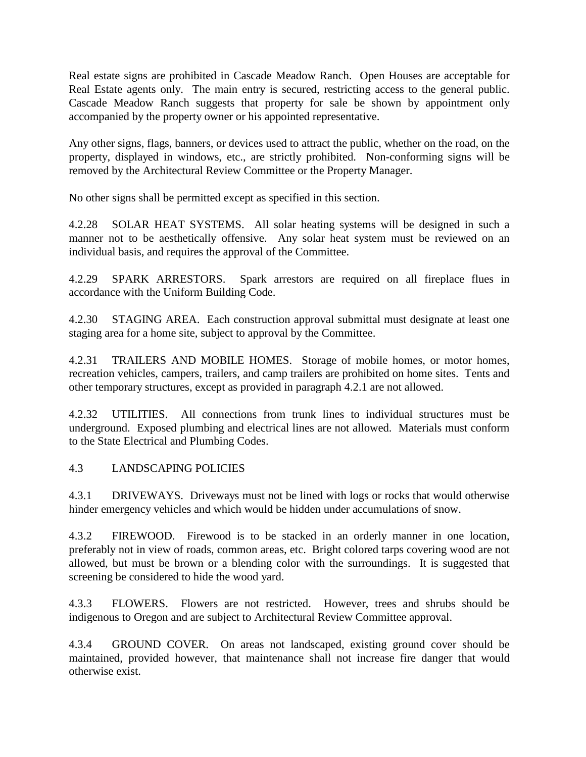Real estate signs are prohibited in Cascade Meadow Ranch. Open Houses are acceptable for Real Estate agents only. The main entry is secured, restricting access to the general public. Cascade Meadow Ranch suggests that property for sale be shown by appointment only accompanied by the property owner or his appointed representative.

Any other signs, flags, banners, or devices used to attract the public, whether on the road, on the property, displayed in windows, etc., are strictly prohibited. Non-conforming signs will be removed by the Architectural Review Committee or the Property Manager.

No other signs shall be permitted except as specified in this section.

4.2.28 SOLAR HEAT SYSTEMS. All solar heating systems will be designed in such a manner not to be aesthetically offensive. Any solar heat system must be reviewed on an individual basis, and requires the approval of the Committee.

4.2.29 SPARK ARRESTORS. Spark arrestors are required on all fireplace flues in accordance with the Uniform Building Code.

4.2.30 STAGING AREA. Each construction approval submittal must designate at least one staging area for a home site, subject to approval by the Committee.

4.2.31 TRAILERS AND MOBILE HOMES. Storage of mobile homes, or motor homes, recreation vehicles, campers, trailers, and camp trailers are prohibited on home sites. Tents and other temporary structures, except as provided in paragraph 4.2.1 are not allowed.

4.2.32 UTILITIES. All connections from trunk lines to individual structures must be underground. Exposed plumbing and electrical lines are not allowed. Materials must conform to the State Electrical and Plumbing Codes.

## 4.3 LANDSCAPING POLICIES

4.3.1 DRIVEWAYS. Driveways must not be lined with logs or rocks that would otherwise hinder emergency vehicles and which would be hidden under accumulations of snow.

4.3.2 FIREWOOD. Firewood is to be stacked in an orderly manner in one location, preferably not in view of roads, common areas, etc. Bright colored tarps covering wood are not allowed, but must be brown or a blending color with the surroundings. It is suggested that screening be considered to hide the wood yard.

4.3.3 FLOWERS. Flowers are not restricted. However, trees and shrubs should be indigenous to Oregon and are subject to Architectural Review Committee approval.

4.3.4 GROUND COVER. On areas not landscaped, existing ground cover should be maintained, provided however, that maintenance shall not increase fire danger that would otherwise exist.